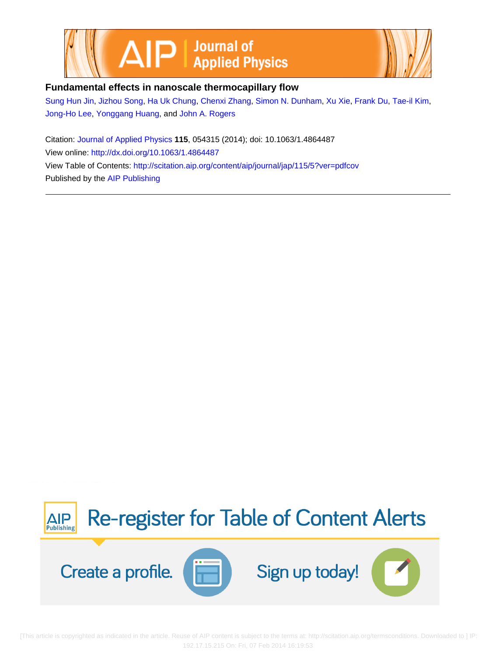



## **Fundamental effects in nanoscale thermocapillary flow**

[Sung Hun Jin](http://scitation.aip.org/search?value1=Sung+Hun+Jin&option1=author), [Jizhou Song,](http://scitation.aip.org/search?value1=Jizhou+Song&option1=author) [Ha Uk Chung](http://scitation.aip.org/search?value1=Ha+Uk+Chung&option1=author), [Chenxi Zhang](http://scitation.aip.org/search?value1=Chenxi+Zhang&option1=author), [Simon N. Dunham](http://scitation.aip.org/search?value1=Simon+N.+Dunham&option1=author), [Xu Xie](http://scitation.aip.org/search?value1=Xu+Xie&option1=author), [Frank Du,](http://scitation.aip.org/search?value1=Frank+Du&option1=author) [Tae-il Kim,](http://scitation.aip.org/search?value1=Tae-il+Kim&option1=author) [Jong-Ho Lee](http://scitation.aip.org/search?value1=Jong-Ho+Lee&option1=author), [Yonggang Huang,](http://scitation.aip.org/search?value1=Yonggang+Huang&option1=author) and [John A. Rogers](http://scitation.aip.org/search?value1=John+A.+Rogers&option1=author)

Citation: [Journal of Applied Physics](http://scitation.aip.org/content/aip/journal/jap?ver=pdfcov) **115**, 054315 (2014); doi: 10.1063/1.4864487 View online: <http://dx.doi.org/10.1063/1.4864487> View Table of Contents: <http://scitation.aip.org/content/aip/journal/jap/115/5?ver=pdfcov> Published by the [AIP Publishing](http://scitation.aip.org/content/aip?ver=pdfcov)



 [This article is copyrighted as indicated in the article. Reuse of AIP content is subject to the terms at: http://scitation.aip.org/termsconditions. Downloaded to ] IP: 192.17.15.215 On: Fri, 07 Feb 2014 16:19:53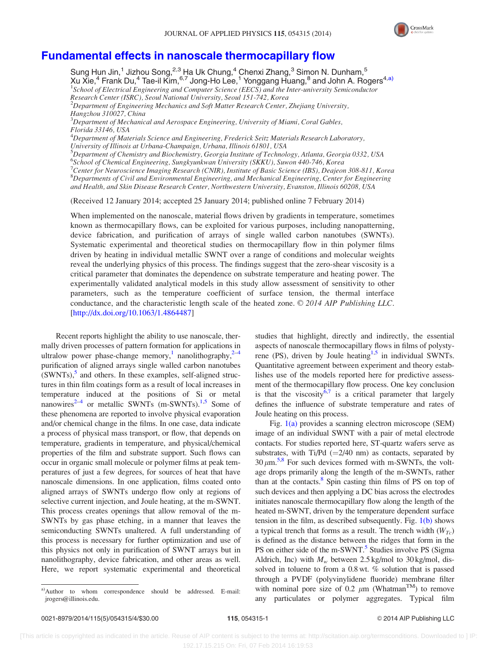

## [Fundamental effects in nanoscale thermocapillary flow](http://dx.doi.org/10.1063/1.4864487)

Sung Hun Jin, $^1$  Jizhou Song, $^{2,3}$  Ha Uk Chung, $^4$  Chenxi Zhang, $^3$  Simon N. Dunham, $^5$ Xu Xie, $^4$  Frank Du, $^4$  Tae-il Kim, $^{6,7}$  Jong-Ho Lee, $^1$  Yonggang Huang, $^8$  and John A. Rogers $^{4,\rm a)}$ <sup>1</sup>School of Electrical Engineering and Computer Science (EECS) and the Inter-university Semiconductor Research Center (ISRC), Seoul National University, Seoul 151-742, Korea  $^{2}$ Department of Engineering Mechanics and Soft Matter Research Center, Zhejiang University, Hangzhou 310027, China  ${}^{3}$ Department of Mechanical and Aerospace Engineering, University of Miami, Coral Gables, Florida 33146, USA <sup>4</sup>Department of Materials Science and Engineering, Frederick Seitz Materials Research Laboratory, University of Illinois at Urbana-Champaign, Urbana, Illinois 61801, USA 5 Department of Chemistry and Biochemistry, Georgia Institute of Technology, Atlanta, Georgia 0332, USA 6 School of Chemical Engineering, Sungkyunkwan University (SKKU), Suwon 440-746, Korea <sup>7</sup>Center for Neuroscience Imaging Research (CNIR), Institute of Basic Science (IBS), Deajeon 308-811, Korea 8 Departments of Civil and Environmental Engineering, and Mechanical Engineering, Center for Engineering and Health, and Skin Disease Research Center, Northwestern University, Evanston, Illinois 60208, USA

(Received 12 January 2014; accepted 25 January 2014; published online 7 February 2014)

When implemented on the nanoscale, material flows driven by gradients in temperature, sometimes known as thermocapillary flows, can be exploited for various purposes, including nanopatterning, device fabrication, and purification of arrays of single walled carbon nanotubes (SWNTs). Systematic experimental and theoretical studies on thermocapillary flow in thin polymer films driven by heating in individual metallic SWNT over a range of conditions and molecular weights reveal the underlying physics of this process. The findings suggest that the zero-shear viscosity is a critical parameter that dominates the dependence on substrate temperature and heating power. The experimentally validated analytical models in this study allow assessment of sensitivity to other parameters, such as the temperature coefficient of surface tension, the thermal interface conductance, and the characteristic length scale of the heated zone.  $\odot$  2014 AIP Publishing LLC. [\[http://dx.doi.org/10.1063/1.4864487](http://dx.doi.org/10.1063/1.4864487)]

Recent reports highlight the ability to use nanoscale, thermally driven processes of pattern formation for applications in ultralow power phase-change memory,<sup>1</sup> nanolithography,<sup>2-4</sup> purification of aligned arrays single walled carbon nanotubes  $(SWNTs)$ , $\delta$  and others. In these examples, self-aligned structures in thin film coatings form as a result of local increases in temperature induced at the positions of Si or metal nanowires<sup>2–4</sup> or metallic SWNTs (m-SWNTs).<sup>[1,5](#page-4-0)</sup> Some of these phenomena are reported to involve physical evaporation and/or chemical change in the films. In one case, data indicate a process of physical mass transport, or flow, that depends on temperature, gradients in temperature, and physical/chemical properties of the film and substrate support. Such flows can occur in organic small molecule or polymer films at peak temperatures of just a few degrees, for sources of heat that have nanoscale dimensions. In one application, films coated onto aligned arrays of SWNTs undergo flow only at regions of selective current injection, and Joule heating, at the m-SWNT. This process creates openings that allow removal of the m-SWNTs by gas phase etching, in a manner that leaves the semiconducting SWNTs unaltered. A full understanding of this process is necessary for further optimization and use of this physics not only in purification of SWNT arrays but in nanolithography, device fabrication, and other areas as well. Here, we report systematic experimental and theoretical

studies that highlight, directly and indirectly, the essential aspects of nanoscale thermocapillary flows in films of polystyrene (PS), driven by Joule heating<sup>1,5</sup> in individual SWNTs. Quantitative agreement between experiment and theory establishes use of the models reported here for predictive assessment of the thermocapillary flow process. One key conclusion is that the viscosity<sup>6,[7](#page-4-0)</sup> is a critical parameter that largely defines the influence of substrate temperature and rates of Joule heating on this process.

Fig. [1\(a\)](#page-3-0) provides a scanning electron microscope (SEM) image of an individual SWNT with a pair of metal electrode contacts. For studies reported here, ST-quartz wafers serve as substrates, with Ti/Pd  $(=2/40 \text{ nm})$  as contacts, separated by  $30 \mu m$ <sup>5,8</sup> For such devices formed with m-SWNTs, the voltage drops primarily along the length of the m-SWNTs, rather than at the contacts. $8$  Spin casting thin films of PS on top of such devices and then applying a DC bias across the electrodes initiates nanoscale thermocapillary flow along the length of the heated m-SWNT, driven by the temperature dependent surface tension in the film, as described subsequently. Fig. [1\(b\)](#page-3-0) shows a typical trench that forms as a result. The trench width  $(W_{Tc})$ is defined as the distance between the ridges that form in the PS on either side of the m-SWNT.<sup>5</sup> Studies involve PS (Sigma Aldrich, Inc) with  $M_w$  between 2.5 kg/mol to 30 kg/mol, dissolved in toluene to from a 0.8 wt. % solution that is passed through a PVDF (polyvinylidene fluoride) membrane filter with nominal pore size of 0.2  $\mu$ m (Whatman<sup>TM</sup>) to remove any particulates or polymer aggregates. Typical film

a)Author to whom correspondence should be addressed. E-mail: [jrogers@illinois.edu](mailto:jrogers@illinois.edu).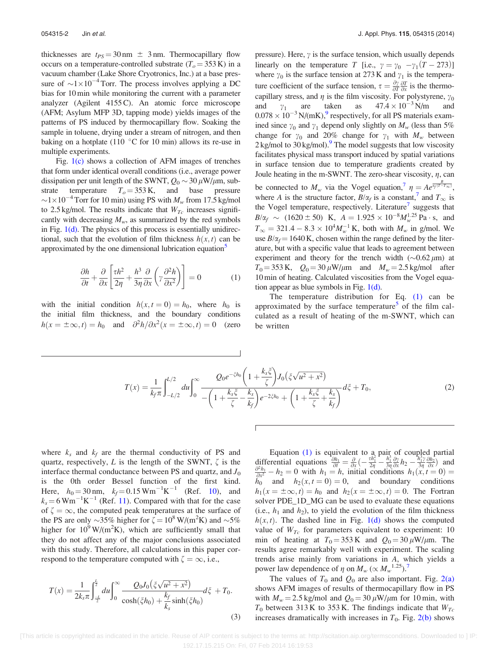<span id="page-2-0"></span>thicknesses are  $t_{PS} = 30 \text{ nm} \pm 3 \text{ nm}$ . Thermocapillary flow occurs on a temperature-controlled substrate  $(T<sub>o</sub> = 353 \text{ K})$  in a vacuum chamber (Lake Shore Cryotronics, Inc.) at a base pressure of  $\sim 1 \times 10^{-4}$  Torr. The process involves applying a DC bias for 10 min while monitoring the current with a parameter analyzer (Agilent 4155 C). An atomic force microscope (AFM; Asylum MFP 3D, tapping mode) yields images of the patterns of PS induced by thermocapillary flow. Soaking the sample in toluene, drying under a stream of nitrogen, and then baking on a hotplate (110 $\degree$ C for 10 min) allows its re-use in multiple experiments.

Fig.  $1(c)$  shows a collection of AFM images of trenches that form under identical overall conditions (i.e., average power dissipation per unit length of the SWNT,  $Q_0 \sim 30 \,\mu\text{W}/\mu\text{m}$ , substrate temperature  $T<sub>o</sub> = 353$  K, and base pressure  $\sim$ 1 $\times$ 10<sup>-4</sup> Torr for 10 min) using PS with  $M_w$  from 17.5 kg/mol to 2.5 kg/mol. The results indicate that  $W_{Tc}$  increases significantly with decreasing  $M_w$ , as summarized by the red symbols in Fig.  $1(d)$ . The physics of this process is essentially unidirectional, such that the evolution of film thickness  $h(x, t)$  can be approximated by the one dimensional lubrication equation<sup>3</sup>

$$
\frac{\partial h}{\partial t} + \frac{\partial}{\partial x} \left[ \frac{\tau h^2}{2\eta} + \frac{h^3}{3\eta} \frac{\partial}{\partial x} \left( \gamma \frac{\partial^2 h}{\partial x^2} \right) \right] = 0 \tag{1}
$$

with the initial condition  $h(x, t = 0) = h_0$ , where  $h_0$  is the initial film thickness, and the boundary conditions  $h(x = \pm \infty, t) = h_0$  and  $\frac{\partial^2 h}{\partial x^2}(x = \pm \infty, t) = 0$  (zero pressure). Here,  $\gamma$  is the surface tension, which usually depends linearly on the temperature T [i.e.,  $\gamma = \gamma_0 - \gamma_1 (T - 273)$ ] where  $\gamma_0$  is the surface tension at 273 K and  $\gamma_1$  is the temperature coefficient of the surface tension,  $\tau = \frac{\partial y}{\partial T} \frac{\partial T}{\partial x}$  is the thermocapillary stress, and  $\eta$  is the film viscosity. For polystyrene,  $\gamma_0$ <br>and  $\gamma_1$  are taken as  $47.4 \times 10^{-3}$  N/m and and  $\gamma_1$  are taken as  $47.4 \times 10^{-3}$  N/m and  $0.078 \times 10^{-3}$  N/(mK),<sup>9</sup> respectively, for all PS materials examined since  $\gamma_0$  and  $\gamma_1$  depend only slightly on  $M_w$  (less than 5%) change for  $\gamma_0$  and 20% change for  $\gamma_1$  with  $M_w$  between  $2 \text{ kg/mol}$  to  $30 \text{ kg/mol}$ . The model suggests that low viscosity facilitates physical mass transport induced by spatial variations in surface tension due to temperature gradients created by Joule heating in the m-SWNT. The zero-shear viscosity,  $\eta$ , can be connected to  $M_w$  via the Vogel equation,  $\eta = Ae^{\frac{B}{2}T(T-T_{\infty})}$ , where A is the structure factor,  $B/\alpha_f$  is a constant,<sup>[7](#page-4-0)</sup> and  $T_\infty$  is the Vogel temperature, respectively. Literature<sup>7</sup> suggests that  $B/\alpha_f \sim (1620 \pm 50) \text{ K}, A = 1.925 \times 10^{-8} M_{w}^{1.25} \text{ Pa} \cdot \text{s}, \text{ and}$  $T_{\infty} = 321.4 - 8.3 \times 10^4 M_{w}^{-1}$  K, both with  $M_{w}$  in g/mol. We use  $B/\alpha_f = 1640$  K, chosen within the range defined by the literature, but with a specific value that leads to agreement between experiment and theory for the trench width  $(\sim 0.62 \,\mu m)$  at  $T_0 = 353 \text{ K}$ ,  $Q_0 = 30 \mu \text{W}/\mu \text{m}$  and  $M_w = 2.5 \text{ kg/mol}$  after 10 min of heating. Calculated viscosities from the Vogel equation appear as blue symbols in Fig.  $1(d)$ .

The temperature distribution for Eq. (1) can be approximated by the surface temperature<sup>[5](#page-4-0)</sup> of the film calculated as a result of heating of the m-SWNT, which can be written

$$
T(x) = \frac{1}{k_f \pi} \int_{-L/2}^{L/2} du \int_0^{\infty} \frac{Q_0 e^{-\xi h_0} \left(1 + \frac{k_s \xi}{\zeta}\right) J_0(\xi \sqrt{u^2 + x^2})}{-\left(1 + \frac{k_s \xi}{\zeta} - \frac{k_s}{k_f}\right) e^{-2\xi h_0} + \left(1 + \frac{k_s \xi}{\zeta} + \frac{k_s}{k_f}\right)} d\xi + T_0,
$$
\n(2)

where  $k_s$  and  $k_f$  are the thermal conductivity of PS and quartz, respectively, L is the length of the SWNT,  $\zeta$  is the interface thermal conductance between PS and quartz, and  $J_0$ is the 0th order Bessel function of the first kind. Here,  $h_0 = 30 \text{ nm}$ ,  $k_f = 0.15 \text{ Wm}^{-1} \text{K}^{-1}$  (Ref. [10](#page-4-0)), and  $k_s = 6 \text{ Wm}^{-1} \text{K}^{-1}$  (Ref. [11](#page-4-0)). Compared with that for the case of  $\zeta = \infty$ , the computed peak temperatures at the surface of the PS are only  $\sim$ 35% higher for  $\zeta = 10^8$  W/(m<sup>2</sup>K) and  $\sim$ 5% higher for  $10^9$  W/(m<sup>2</sup>K), which are sufficiently small that they do not affect any of the major conclusions associated with this study. Therefore, all calculations in this paper correspond to the temperature computed with  $\zeta = \infty$ , i.e.,

$$
T(x) = \frac{1}{2k_s\pi} \int_{\frac{-L}{2}}^{\frac{L}{2}} du \int_0^{\infty} \frac{Q_0 J_0(\xi\sqrt{u^2 + x^2})}{\cosh(\xi h_0) + \frac{k_f}{k_s}\sinh(\xi h_0)} d\xi + T_0.
$$
\n(3)

Equation (1) is equivalent to a pair of coupled partial differential equations  $\frac{\partial h_1}{\partial t} = \frac{\partial}{\partial x} \left( -\frac{\tau h_1^2}{2\eta} - \frac{h_1^3}{3\eta} \frac{\partial \gamma}{\partial x} h_2 - \frac{h_1^3 \gamma}{3\eta} \frac{\partial h_2}{\partial x} \right)$  and  $\frac{\partial^2 h_1}{\partial x^2} - h_2 = 0$  with  $h_1 = h$ , initial conditions  $h_1(x, t = 0) =$  $h_0$  and  $h_2(x, t = 0) = 0$ , and boundary conditions  $h_1(x = \pm \infty, t) = h_0$  and  $h_2(x = \pm \infty, t) = 0$ . The Fortran solver PDE\_1D\_MG can be used to evaluate these equations (i.e.,  $h_1$  and  $h_2$ ), to yield the evolution of the film thickness  $h(x, t)$ . The dashed line in Fig. [1\(d\)](#page-3-0) shows the computed value of  $W_{Tc}$  for parameters equivalent to experiment: 10 min of heating at  $T_0 = 353 \text{ K}$  and  $Q_0 = 30 \mu \text{W/m}$ . The results agree remarkably well with experiment. The scaling trends arise mainly from variations in A, which yields a power law dependence of  $\eta$  on  $M_w \, (\propto M_w^{1.25})$ .

The values of  $T_0$  and  $Q_0$  are also important. Fig. [2\(a\)](#page-3-0) shows AFM images of results of thermocapillary flow in PS with  $M_w = 2.5$  kg/mol and  $Q_0 = 30 \,\mu\text{W}/\mu\text{m}$  for 10 min, with  $T_0$  between 313 K to 353 K. The findings indicate that  $W_{Tc}$ increases dramatically with increases in  $T_0$ . Fig. [2\(b\)](#page-3-0) shows

 [This article is copyrighted as indicated in the article. Reuse of AIP content is subject to the terms at: http://scitation.aip.org/termsconditions. Downloaded to ] IP: 192.17.15.215 On: Fri, 07 Feb 2014 16:19:53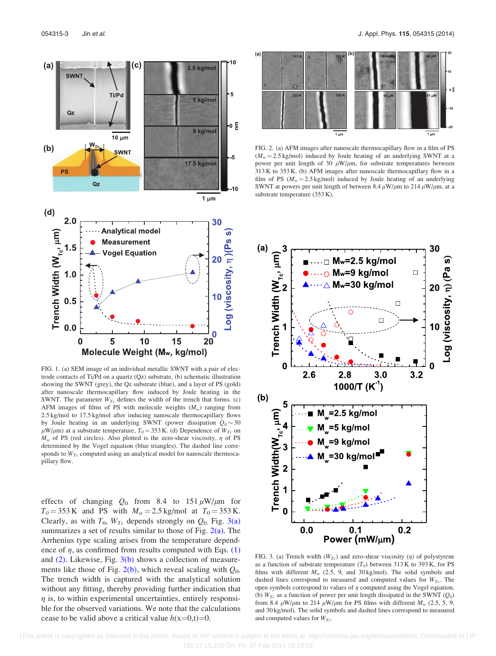<span id="page-3-0"></span>

FIG. 1. (a) SEM image of an individual metallic SWNT with a pair of electrode contacts of Ti/Pd on a quartz (Qz) substrate, (b) schematic illustration showing the SWNT (grey), the Qz substrate (blue), and a layer of PS (gold) after nanoscale thermocapillary flow induced by Joule heating in the SWNT. The parameter  $W_{Tc}$  defines the width of the trench that forms. (c) AFM images of films of PS with molecule weights  $(M_w)$  ranging from 2.5 kg/mol to 17.5 kg/mol after inducing nanoscale thermocapillary flows by Joule heating in an underlying SWNT (power dissipation  $Q_0 \sim 30$  $\mu$ W/ $\mu$ m) at a substrate temperature,  $T_0 = 353$  K. (d) Dependence of  $W_{T_c}$  on  $M_w$  of PS (red circles). Also plotted is the zero-shear viscosity,  $\eta$  of PS determined by the Vogel equation (blue triangles). The dashed line corresponds to  $W_{Tc}$  computed using an analytical model for nanoscale thermocapillary flow.

effects of changing  $Q_0$  from 8.4 to 151  $\mu$ W/ $\mu$ m for  $T_0 = 353 \text{ K}$  and PS with  $M_w = 2.5 \text{ kg/mol}$  at  $T_0 = 353 \text{ K}$ . Clearly, as with  $T_0$ ,  $W_{Tc}$  depends strongly on  $Q_0$ . Fig. 3(a) summarizes a set of results similar to those of Fig.  $2(a)$ . The Arrhenius type scaling arises from the temperature dependence of  $\eta$ , as confirmed from results computed with Eqs. [\(1\)](#page-2-0) and  $(2)$ . Likewise, Fig.  $3(b)$  shows a collection of measurements like those of Fig. 2(b), which reveal scaling with  $Q_0$ . The trench width is captured with the analytical solution without any fitting, thereby providing further indication that  $\eta$  is, to within experimental uncertainties, entirely responsible for the observed variations. We note that the calculations cease to be valid above a critical value  $h(x=0,t)=0$ .



FIG. 2. (a) AFM images after nanoscale thermocapillary flow in a film of PS  $(M<sub>w</sub> = 2.5 \text{ kg/mol})$  induced by Joule heating of an underlying SWNT at a power per unit length of 30  $\mu$ W/ $\mu$ m, for substrate temperatures between 313 K to 353 K. (b) AFM images after nanoscale thermocapillary flow in a film of PS ( $M_w = 2.5$  kg/mol) induced by Joule heating of an underlying SWNT at powers per unit length of between 8.4  $\mu$ W/ $\mu$ m to 214  $\mu$ W/ $\mu$ m, at a substrate temperature (353 K).



FIG. 3. (a) Trench width ( $W_{Tc}$ ) and zero-shear viscosity ( $\eta$ ) of polystyrene as a function of substrate temperature  $(T_0)$  between 313 K to 393 K, for PS films with different  $M_w$  (2.5, 9, and 30 kg/mol). The solid symbols and dashed lines correspond to measured and computed values for  $W_{T_c}$ . The open symbols correspond to values of  $\eta$  computed using the Vogel equation. (b)  $W_{Tc}$  as a function of power per unit length dissipated in the SWNT ( $Q_0$ ) from 8.4  $\mu$ W/ $\mu$ m to 214  $\mu$ W/ $\mu$ m for PS films with different  $M_w$  (2.5, 5, 9, and 30 kg/mol). The solid symbols and dashed lines correspond to measured and computed values for  $W_{Tc}$ .